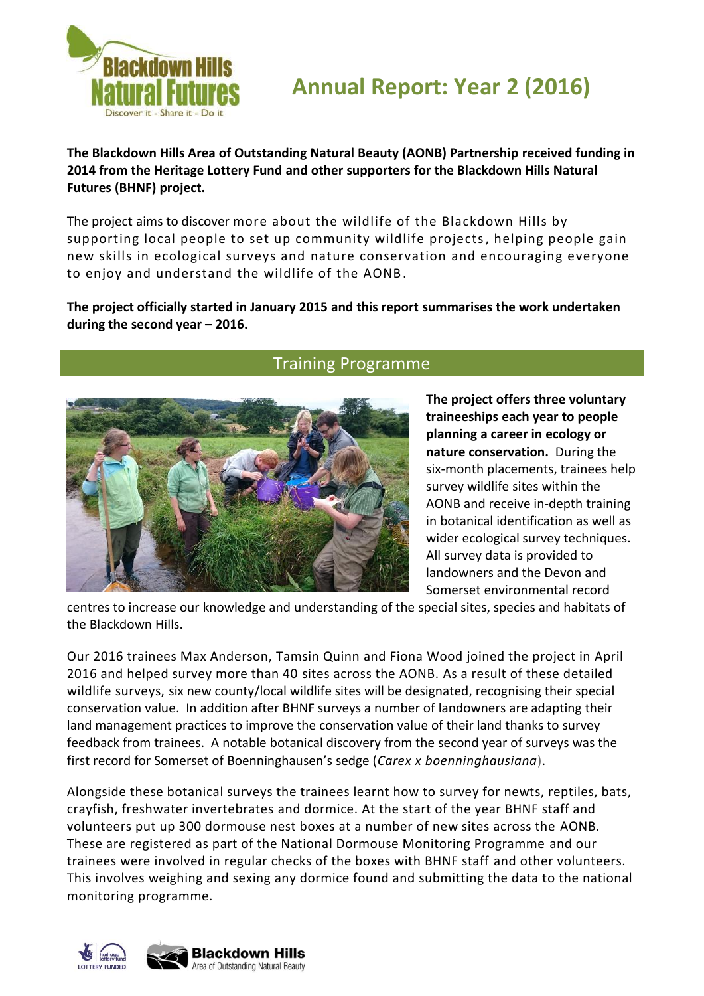

# **Annual Report: Year 2 (2016)**

**The Blackdown Hills Area of Outstanding Natural Beauty (AONB) Partnership received funding in 2014 from the Heritage Lottery Fund and other supporters for the Blackdown Hills Natural Futures (BHNF) project.**

The project aims to discover more about the wildlife of the Blackdown Hills by supporting local people to set up community wildlife projects, helping people gain new skills in ecological surveys and nature conservation and encouraging everyone to enjoy and understand the wildlife of the AONB.

#### **The project officially started in January 2015 and this report summarises the work undertaken during the second year – 2016.**



# Training Programme

**The project offers three voluntary traineeships each year to people planning a career in ecology or nature conservation.** During the six-month placements, trainees help survey wildlife sites within the AONB and receive in-depth training in botanical identification as well as wider ecological survey techniques. All survey data is provided to landowners and the Devon and Somerset environmental record

centres to increase our knowledge and understanding of the special sites, species and habitats of the Blackdown Hills.

Our 2016 trainees Max Anderson, Tamsin Quinn and Fiona Wood joined the project in April 2016 and helped survey more than 40 sites across the AONB. As a result of these detailed wildlife surveys, six new county/local wildlife sites will be designated, recognising their special conservation value. In addition after BHNF surveys a number of landowners are adapting their land management practices to improve the conservation value of their land thanks to survey feedback from trainees. A notable botanical discovery from the second year of surveys was the first record for Somerset of Boenninghausen's sedge (*Carex x boenninghausiana*).

Alongside these botanical surveys the trainees learnt how to survey for newts, reptiles, bats, crayfish, freshwater invertebrates and dormice. At the start of the year BHNF staff and volunteers put up 300 dormouse nest boxes at a number of new sites across the AONB. These are registered as part of the National Dormouse Monitoring Programme and our trainees were involved in regular checks of the boxes with BHNF staff and other volunteers. This involves weighing and sexing any dormice found and submitting the data to the national monitoring programme.

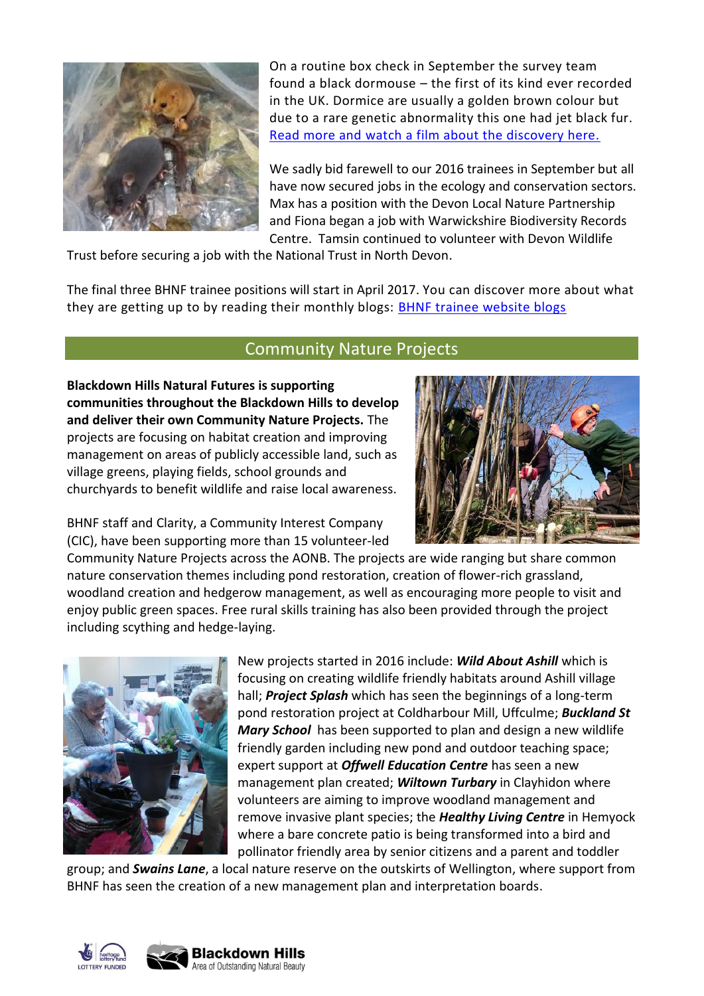

On a routine box check in September the survey team found a black dormouse – the first of its kind ever recorded in the UK. Dormice are usually a golden brown colour but due to a rare genetic abnormality this one had jet black fur. [Read more and watch a film about the discovery here.](http://www.blackdownhillsnaturalfutures.org/news/uk-first-rare-black-dormouse-found)

We sadly bid farewell to our 2016 trainees in September but all have now secured jobs in the ecology and conservation sectors. Max has a position with the Devon Local Nature Partnership and Fiona began a job with Warwickshire Biodiversity Records Centre. Tamsin continued to volunteer with Devon Wildlife

Trust before securing a job with the National Trust in North Devon.

The final three BHNF trainee positions will start in April 2017. You can discover more about what they are getting up to by reading their monthly blogs: [BHNF trainee website blogs](http://www.blackdownhillsnaturalfutures.org/news?field_news_category_tid=6)

## Community Nature Projects

**Blackdown Hills Natural Futures is supporting communities throughout the Blackdown Hills to develop and deliver their own Community Nature Projects.** The projects are focusing on habitat creation and improving management on areas of publicly accessible land, such as village greens, playing fields, school grounds and churchyards to benefit wildlife and raise local awareness.



BHNF staff and Clarity, a Community Interest Company (CIC), have been supporting more than 15 volunteer-led

Community Nature Projects across the AONB. The projects are wide ranging but share common nature conservation themes including pond restoration, creation of flower-rich grassland, woodland creation and hedgerow management, as well as encouraging more people to visit and enjoy public green spaces. Free rural skills training has also been provided through the project including scything and hedge-laying.



New projects started in 2016 include: *Wild About Ashill* which is focusing on creating wildlife friendly habitats around Ashill village hall; *Project Splash* which has seen the beginnings of a long-term pond restoration project at Coldharbour Mill, Uffculme; *Buckland St Mary School* has been supported to plan and design a new wildlife friendly garden including new pond and outdoor teaching space; expert support at *Offwell Education Centre* has seen a new management plan created; *Wiltown Turbary* in Clayhidon where volunteers are aiming to improve woodland management and remove invasive plant species; the *Healthy Living Centre* in Hemyock where a bare concrete patio is being transformed into a bird and pollinator friendly area by senior citizens and a parent and toddler

group; and *Swains Lane*, a local nature reserve on the outskirts of Wellington, where support from BHNF has seen the creation of a new management plan and interpretation boards.

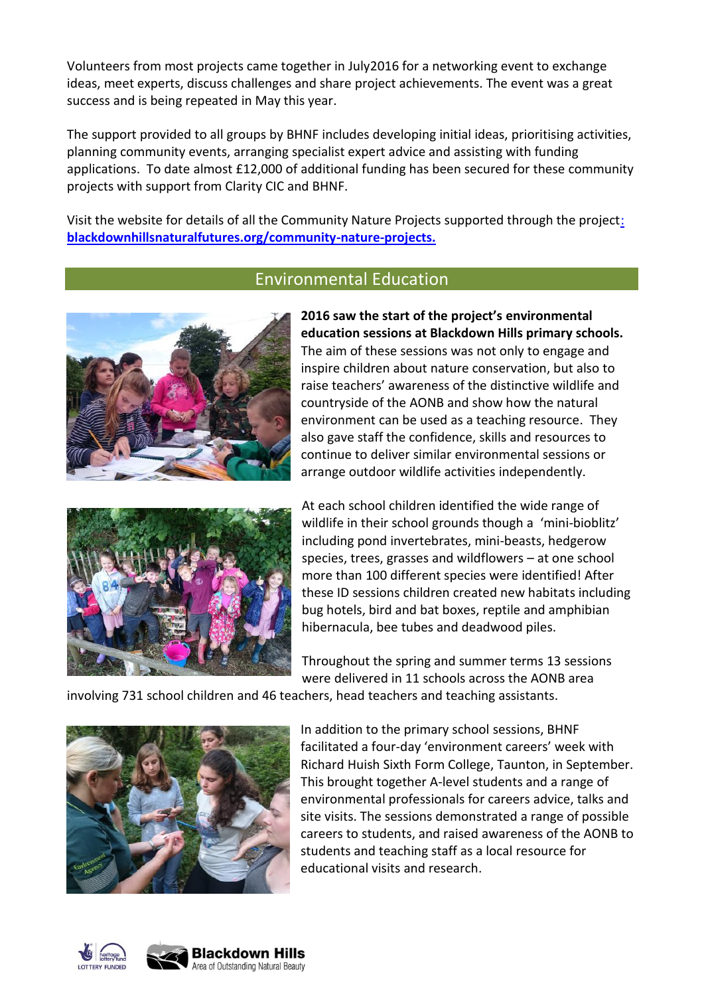Volunteers from most projects came together in July2016 for a networking event to exchange ideas, meet experts, discuss challenges and share project achievements. The event was a great success and is being repeated in May this year.

The support provided to all groups by BHNF includes developing initial ideas, prioritising activities, planning community events, arranging specialist expert advice and assisting with funding applications. To date almost £12,000 of additional funding has been secured for these community projects with support from Clarity CIC and BHNF.

Visit the website for details of all the Community Nature Projects supported through the project: **blackdownhillsnaturalfutures.org/community-nature-projects.**

#### Environmental Education



**2016 saw the start of the project's environmental education sessions at Blackdown Hills primary schools.** The aim of these sessions was not only to engage and inspire children about nature conservation, but also to raise teachers' awareness of the distinctive wildlife and countryside of the AONB and show how the natural environment can be used as a teaching resource. They also gave staff the confidence, skills and resources to continue to deliver similar environmental sessions or arrange outdoor wildlife activities independently.



At each school children identified the wide range of wildlife in their school grounds though a 'mini-bioblitz' including pond invertebrates, mini-beasts, hedgerow species, trees, grasses and wildflowers – at one school more than 100 different species were identified! After these ID sessions children created new habitats including bug hotels, bird and bat boxes, reptile and amphibian hibernacula, bee tubes and deadwood piles.

Throughout the spring and summer terms 13 sessions were delivered in 11 schools across the AONB area

involving 731 school children and 46 teachers, head teachers and teaching assistants.



In addition to the primary school sessions, BHNF facilitated a four-day 'environment careers' week with Richard Huish Sixth Form College, Taunton, in September. This brought together A-level students and a range of environmental professionals for careers advice, talks and site visits. The sessions demonstrated a range of possible careers to students, and raised awareness of the AONB to students and teaching staff as a local resource for educational visits and research.